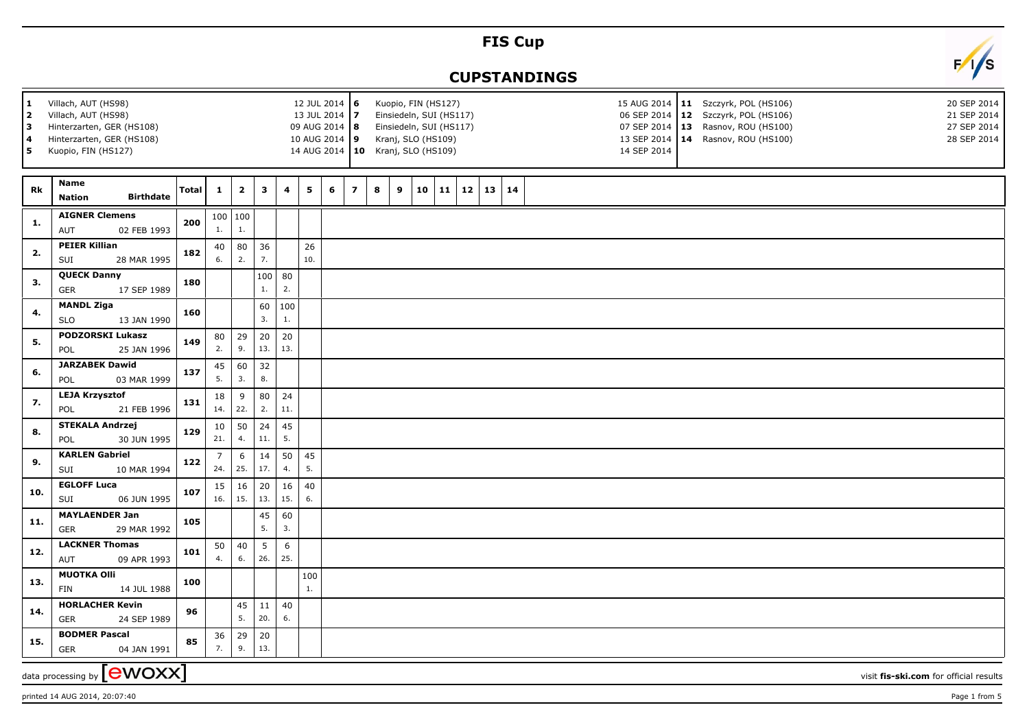## **FIS Cup**

## **CUPSTANDINGS**



printed 14 AUG 2014, 20:07:40 Page 1 from 5

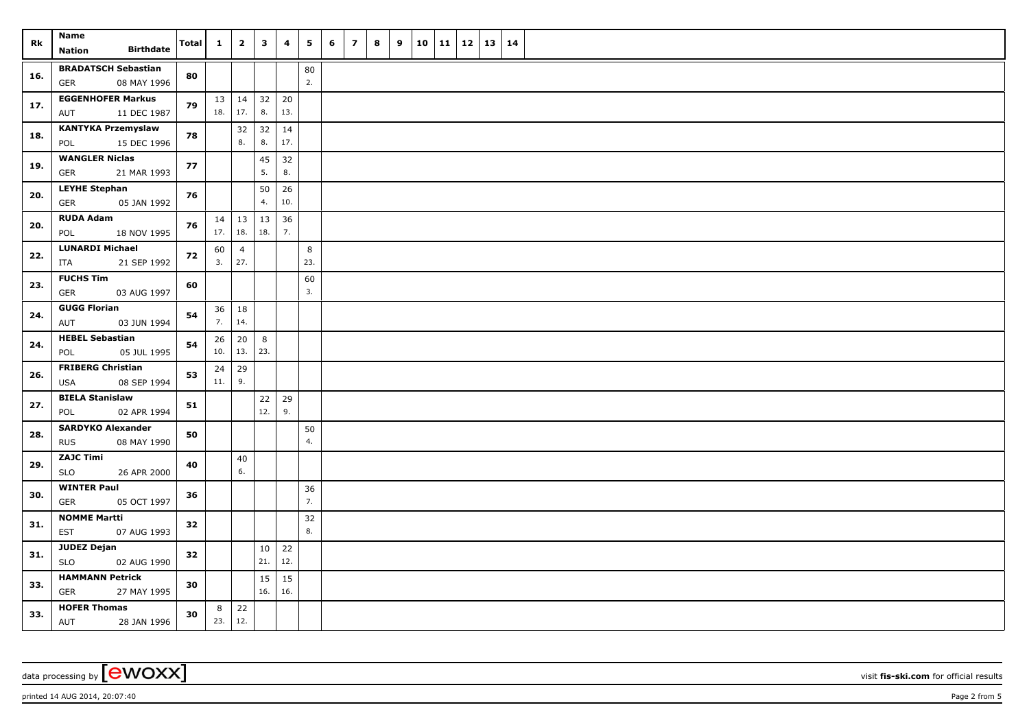| Rk  | Name<br><b>Birthdate</b><br><b>Nation</b>             | <b>Total</b> | $\mathbf{1}$        | $\overline{2}$    | $\mathbf{3}$ | 4         | 5        | 6 | $\overline{\phantom{a}}$ | 8 | 9 | 10 | 11 | $12 \mid 13$ | 14 |  |
|-----|-------------------------------------------------------|--------------|---------------------|-------------------|--------------|-----------|----------|---|--------------------------|---|---|----|----|--------------|----|--|
|     | <b>BRADATSCH Sebastian</b>                            |              |                     |                   |              |           |          |   |                          |   |   |    |    |              |    |  |
| 16. | <b>GER</b><br>08 MAY 1996                             | 80           |                     |                   |              |           | 80<br>2. |   |                          |   |   |    |    |              |    |  |
|     | <b>EGGENHOFER Markus</b>                              |              |                     | $13 \mid 14 \mid$ | 32           | 20        |          |   |                          |   |   |    |    |              |    |  |
| 17. | 11 DEC 1987<br>AUT                                    | 79           | 18.                 | 17.               | 8.           | 13.       |          |   |                          |   |   |    |    |              |    |  |
| 18. | <b>KANTYKA Przemyslaw</b>                             | 78           |                     | 32                | 32           | 14        |          |   |                          |   |   |    |    |              |    |  |
|     | POL<br>15 DEC 1996                                    |              |                     | 8.                | 8.           | 17.       |          |   |                          |   |   |    |    |              |    |  |
| 19. | <b>WANGLER Niclas</b>                                 | 77           |                     |                   | 45           | 32        |          |   |                          |   |   |    |    |              |    |  |
|     | <b>GER</b><br>21 MAR 1993                             |              |                     |                   | 5.           | 8.        |          |   |                          |   |   |    |    |              |    |  |
| 20. | <b>LEYHE Stephan</b><br>05 JAN 1992<br><b>GER</b>     | 76           |                     |                   | 50<br>4.     | 26<br>10. |          |   |                          |   |   |    |    |              |    |  |
|     | <b>RUDA Adam</b>                                      |              |                     |                   | 13           |           |          |   |                          |   |   |    |    |              |    |  |
| 20. | 18 NOV 1995<br>POL                                    | 76           | $14 \mid 13$<br>17. | 18.               | 18.          | 36<br>7.  |          |   |                          |   |   |    |    |              |    |  |
|     | <b>LUNARDI Michael</b>                                |              | 60                  | $\overline{4}$    |              |           | 8        |   |                          |   |   |    |    |              |    |  |
| 22. | 21 SEP 1992<br>ITA                                    | 72           | 3.                  | 27.               |              |           | 23.      |   |                          |   |   |    |    |              |    |  |
| 23. | <b>FUCHS Tim</b>                                      | 60           |                     |                   |              |           | 60       |   |                          |   |   |    |    |              |    |  |
|     | GER<br>03 AUG 1997                                    |              |                     |                   |              |           | 3.       |   |                          |   |   |    |    |              |    |  |
| 24. | <b>GUGG Florian</b>                                   | 54           | 36                  | 18                |              |           |          |   |                          |   |   |    |    |              |    |  |
|     | AUT<br>03 JUN 1994                                    |              | 7.                  | 14.               |              |           |          |   |                          |   |   |    |    |              |    |  |
| 24. | <b>HEBEL Sebastian</b>                                | 54           | 26                  | 20                | 8            |           |          |   |                          |   |   |    |    |              |    |  |
|     | POL<br>05 JUL 1995                                    |              | 10.                 | 13.               | 23.          |           |          |   |                          |   |   |    |    |              |    |  |
| 26. | <b>FRIBERG Christian</b><br><b>USA</b><br>08 SEP 1994 | 53           | 24<br>11.           | 29<br>9.          |              |           |          |   |                          |   |   |    |    |              |    |  |
|     | <b>BIELA Stanislaw</b>                                |              |                     |                   | 22           | 29        |          |   |                          |   |   |    |    |              |    |  |
| 27. | 02 APR 1994<br>POL                                    | 51           |                     |                   | 12.          | 9.        |          |   |                          |   |   |    |    |              |    |  |
|     | <b>SARDYKO Alexander</b>                              |              |                     |                   |              |           | 50       |   |                          |   |   |    |    |              |    |  |
| 28. | 08 MAY 1990<br><b>RUS</b>                             | 50           |                     |                   |              |           | 4.       |   |                          |   |   |    |    |              |    |  |
| 29. | <b>ZAJC Timi</b>                                      | 40           |                     | 40                |              |           |          |   |                          |   |   |    |    |              |    |  |
|     | <b>SLO</b><br>26 APR 2000                             |              |                     | 6.                |              |           |          |   |                          |   |   |    |    |              |    |  |
| 30. | <b>WINTER Paul</b>                                    | 36           |                     |                   |              |           | 36       |   |                          |   |   |    |    |              |    |  |
|     | <b>GER</b><br>05 OCT 1997                             |              |                     |                   |              |           | 7.       |   |                          |   |   |    |    |              |    |  |
| 31. | <b>NOMME Martti</b>                                   | 32           |                     |                   |              |           | 32<br>8. |   |                          |   |   |    |    |              |    |  |
|     | 07 AUG 1993<br><b>EST</b>                             |              |                     |                   |              |           |          |   |                          |   |   |    |    |              |    |  |
| 31. | <b>JUDEZ Dejan</b><br><b>SLO</b><br>02 AUG 1990       | 32           |                     |                   | 10<br>21.    | 22<br>12. |          |   |                          |   |   |    |    |              |    |  |
|     | <b>HAMMANN Petrick</b>                                |              |                     |                   | 15           | 15        |          |   |                          |   |   |    |    |              |    |  |
| 33. | <b>GER</b><br>27 MAY 1995                             | 30           |                     |                   | 16.          | 16.       |          |   |                          |   |   |    |    |              |    |  |
| 33. | <b>HOFER Thomas</b>                                   | 30           | 8                   | 22                |              |           |          |   |                          |   |   |    |    |              |    |  |
|     | AUT<br>28 JAN 1996                                    |              | 23.                 | 12.               |              |           |          |   |                          |   |   |    |    |              |    |  |

data processing by **CWOXX** visit **fis-ski.com** for official results

printed 14 AUG 2014, 20:07:40 Page 2 from 5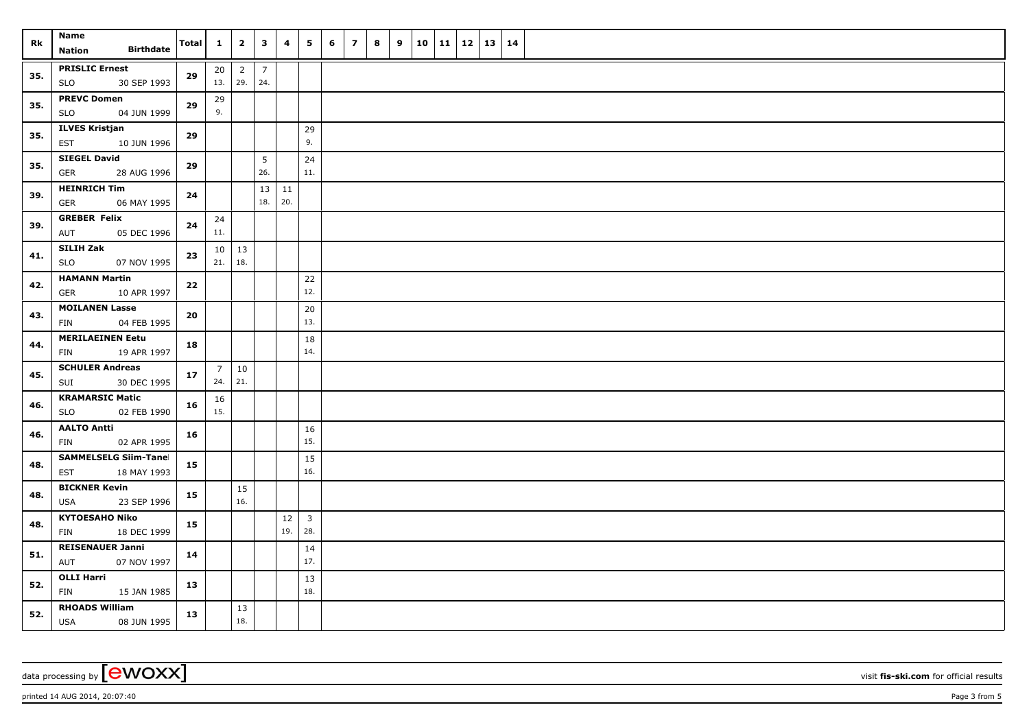| Rk  | Name<br><b>Birthdate</b><br>Nation                        | <b>Total</b> | $\mathbf{1}$           | $\overline{2}$        | $\overline{\mathbf{3}}$ | 4         | 5                              | 6 | $\overline{z}$ | 8 | 9 |  | $10 \mid 11 \mid 12$ | 13   14 |  |
|-----|-----------------------------------------------------------|--------------|------------------------|-----------------------|-------------------------|-----------|--------------------------------|---|----------------|---|---|--|----------------------|---------|--|
| 35. | <b>PRISLIC Ernest</b><br><b>SLO</b><br>30 SEP 1993        | 29           | 20 <sub>2</sub><br>13. | $\overline{2}$<br>29. | $\overline{7}$<br>24.   |           |                                |   |                |   |   |  |                      |         |  |
| 35. | <b>PREVC Domen</b><br>04 JUN 1999<br><b>SLO</b>           | 29           | 29<br>9.               |                       |                         |           |                                |   |                |   |   |  |                      |         |  |
| 35. | <b>ILVES Kristjan</b><br><b>EST</b><br>10 JUN 1996        | 29           |                        |                       |                         |           | 29<br>9.                       |   |                |   |   |  |                      |         |  |
| 35. | <b>SIEGEL David</b><br>GER<br>28 AUG 1996                 | 29           |                        |                       | 5<br>26.                |           | 24<br>11.                      |   |                |   |   |  |                      |         |  |
| 39. | <b>HEINRICH Tim</b><br>06 MAY 1995<br>GER                 | 24           |                        |                       | 13<br>18.               | 11<br>20. |                                |   |                |   |   |  |                      |         |  |
| 39. | <b>GREBER Felix</b><br>05 DEC 1996<br>AUT                 | 24           | 24<br>11.              |                       |                         |           |                                |   |                |   |   |  |                      |         |  |
| 41. | <b>SILIH Zak</b><br><b>SLO</b><br>07 NOV 1995             | 23           | 10 <sup>1</sup><br>21. | 13<br>18.             |                         |           |                                |   |                |   |   |  |                      |         |  |
| 42. | <b>HAMANN Martin</b><br>GER<br>10 APR 1997                | 22           |                        |                       |                         |           | 22<br>12.                      |   |                |   |   |  |                      |         |  |
| 43. | <b>MOILANEN Lasse</b><br><b>FIN</b><br>04 FEB 1995        | 20           |                        |                       |                         |           | 20<br>13.                      |   |                |   |   |  |                      |         |  |
| 44. | <b>MERILAEINEN Eetu</b><br>19 APR 1997<br>FIN             | 18           |                        |                       |                         |           | 18<br>14.                      |   |                |   |   |  |                      |         |  |
| 45. | <b>SCHULER Andreas</b><br>SUI<br>30 DEC 1995              | 17           | $\overline{7}$<br>24.  | 10<br>21.             |                         |           |                                |   |                |   |   |  |                      |         |  |
| 46. | <b>KRAMARSIC Matic</b><br><b>SLO</b><br>02 FEB 1990       | 16           | 16<br>15.              |                       |                         |           |                                |   |                |   |   |  |                      |         |  |
| 46. | <b>AALTO Antti</b><br>02 APR 1995<br>FIN                  | 16           |                        |                       |                         |           | 16<br>15.                      |   |                |   |   |  |                      |         |  |
| 48. | <b>SAMMELSELG Siim-Tanel</b><br><b>EST</b><br>18 MAY 1993 | 15           |                        |                       |                         |           | 15<br>16.                      |   |                |   |   |  |                      |         |  |
| 48. | <b>BICKNER Kevin</b><br><b>USA</b><br>23 SEP 1996         | 15           |                        | 15<br>16.             |                         |           |                                |   |                |   |   |  |                      |         |  |
| 48. | <b>KYTOESAHO Niko</b><br>FIN<br>18 DEC 1999               | 15           |                        |                       |                         | 12<br>19. | $\overline{\mathbf{3}}$<br>28. |   |                |   |   |  |                      |         |  |
| 51. | <b>REISENAUER Janni</b><br>AUT<br>07 NOV 1997             | 14           |                        |                       |                         |           | 14<br>17.                      |   |                |   |   |  |                      |         |  |
| 52. | <b>OLLI Harri</b><br>FIN<br>15 JAN 1985                   | 13           |                        |                       |                         |           | 13<br>18.                      |   |                |   |   |  |                      |         |  |
| 52. | <b>RHOADS William</b><br><b>USA</b><br>08 JUN 1995        | 13           |                        | 13<br>18.             |                         |           |                                |   |                |   |   |  |                      |         |  |

data processing by **CWOXX** visit **fis-ski.com** for official results

printed 14 AUG 2014, 20:07:40 **Page 3** from 5 **Page 3** from 5 **Page 3** from 5 **Page 3** from 5 **Page 3** from 5 **Page 3** from 5 **Page 3** from 5 **Page 3** from 5 **Page 3** from 5 **Page 3** from 5 **Page 3** from 5 **Page 3** from 5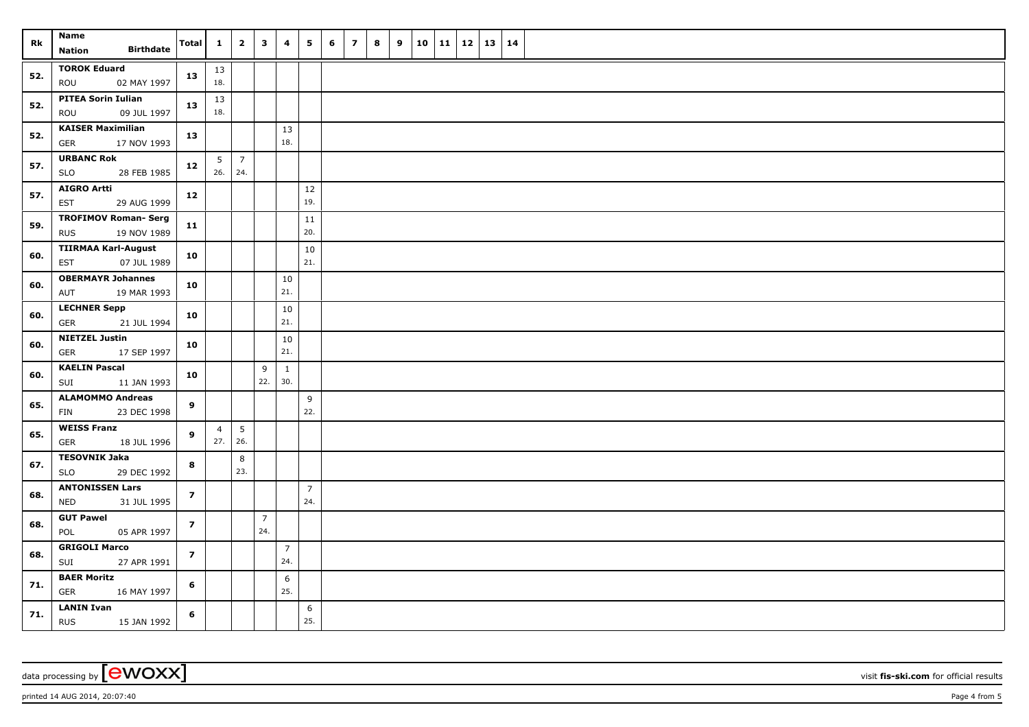| Rk  | Name<br><b>Birthdate</b>                                 | Total          | $\mathbf{1}$          | $\overline{2}$         | $\overline{\mathbf{3}}$ | 4                     | 5                     | 6 | $\overline{ }$ | 8 | 9 |  |  | $10$   11   12   13   14 |  |
|-----|----------------------------------------------------------|----------------|-----------------------|------------------------|-------------------------|-----------------------|-----------------------|---|----------------|---|---|--|--|--------------------------|--|
|     | <b>Nation</b>                                            |                |                       |                        |                         |                       |                       |   |                |   |   |  |  |                          |  |
| 52. | <b>TOROK Eduard</b><br>ROU<br>02 MAY 1997                | 13             | 13<br>18.             |                        |                         |                       |                       |   |                |   |   |  |  |                          |  |
| 52. | <b>PITEA Sorin Iulian</b><br>09 JUL 1997<br>ROU          | 13             | 13<br>18.             |                        |                         |                       |                       |   |                |   |   |  |  |                          |  |
| 52. | <b>KAISER Maximilian</b><br>GER<br>17 NOV 1993           | 13             |                       |                        |                         | 13<br>18.             |                       |   |                |   |   |  |  |                          |  |
| 57. | <b>URBANC Rok</b><br><b>SLO</b><br>28 FEB 1985           | 12             | $5-1$<br>26.          | $\overline{7}$<br>24.  |                         |                       |                       |   |                |   |   |  |  |                          |  |
| 57. | <b>AIGRO Artti</b><br>29 AUG 1999<br>EST                 | $12$           |                       |                        |                         |                       | $12$<br>19.           |   |                |   |   |  |  |                          |  |
| 59. | <b>TROFIMOV Roman- Serg</b><br>19 NOV 1989<br><b>RUS</b> | $11$           |                       |                        |                         |                       | 11<br>20.             |   |                |   |   |  |  |                          |  |
| 60. | <b>TIIRMAA Karl-August</b><br>07 JUL 1989<br>EST         | 10             |                       |                        |                         |                       | $10\,$<br>21.         |   |                |   |   |  |  |                          |  |
| 60. | <b>OBERMAYR Johannes</b><br>AUT<br>19 MAR 1993           | 10             |                       |                        |                         | 10<br>21.             |                       |   |                |   |   |  |  |                          |  |
| 60. | <b>LECHNER Sepp</b><br><b>GER</b><br>21 JUL 1994         | 10             |                       |                        |                         | 10<br>21.             |                       |   |                |   |   |  |  |                          |  |
| 60. | <b>NIETZEL Justin</b><br><b>GER</b><br>17 SEP 1997       | 10             |                       |                        |                         | 10<br>21.             |                       |   |                |   |   |  |  |                          |  |
| 60. | <b>KAELIN Pascal</b><br>SUI<br>11 JAN 1993               | 10             |                       |                        | 9<br>22.                | $\mathbf{1}$<br>30.   |                       |   |                |   |   |  |  |                          |  |
| 65. | <b>ALAMOMMO Andreas</b><br>FIN<br>23 DEC 1998            | 9              |                       |                        |                         |                       | 9<br>22.              |   |                |   |   |  |  |                          |  |
| 65. | <b>WEISS Franz</b><br>GER<br>18 JUL 1996                 | 9              | $\overline{4}$<br>27. | $5\phantom{.0}$<br>26. |                         |                       |                       |   |                |   |   |  |  |                          |  |
| 67. | <b>TESOVNIK Jaka</b><br>29 DEC 1992<br><b>SLO</b>        | 8              |                       | 8<br>23.               |                         |                       |                       |   |                |   |   |  |  |                          |  |
| 68. | <b>ANTONISSEN Lars</b><br>NED<br>31 JUL 1995             | $\overline{z}$ |                       |                        |                         |                       | $\overline{7}$<br>24. |   |                |   |   |  |  |                          |  |
| 68. | <b>GUT Pawel</b><br>POL<br>05 APR 1997                   | $\overline{z}$ |                       |                        | $\overline{7}$<br>24.   |                       |                       |   |                |   |   |  |  |                          |  |
| 68. | <b>GRIGOLI Marco</b><br>SUI<br>27 APR 1991               | $\overline{z}$ |                       |                        |                         | $\overline{7}$<br>24. |                       |   |                |   |   |  |  |                          |  |
| 71. | <b>BAER Moritz</b><br><b>GER</b><br>16 MAY 1997          | 6              |                       |                        |                         | 6<br>25.              |                       |   |                |   |   |  |  |                          |  |
| 71. | <b>LANIN Ivan</b><br><b>RUS</b><br>15 JAN 1992           | 6              |                       |                        |                         |                       | 6<br>25.              |   |                |   |   |  |  |                          |  |

data processing by **CWOXX** visit **fis-ski.com** for official results

printed 14 AUG 2014, 20:07:40 Page 4 from 5